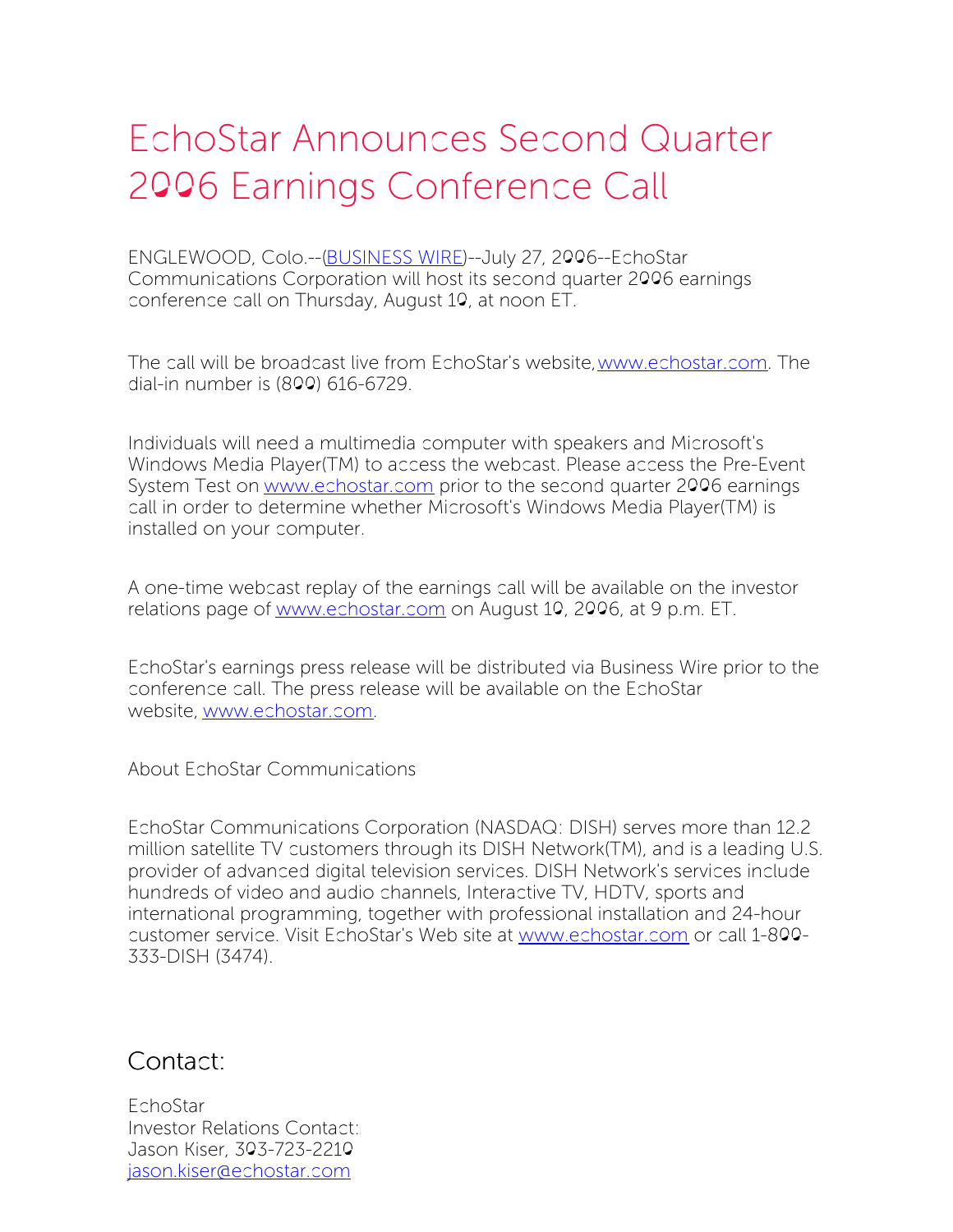## EchoStar Announces Second Quarter 2006 Earnings Conference Call

ENGLEWOOD, Colo.--[\(BUSINESS](http://www.businesswire.com/) WIRE)--July 27, 2006--EchoStar Communications Corporation will host its second quarter 2006 earnings conference call on Thursday, August 10, at noon ET.

The call will be broadcast live from EchoStar's website,[www.echostar.com](http://www.echostar.com/). The dial-in number is (800) 616-6729.

Individuals will need a multimedia computer with speakers and Microsoft's Windows Media Player(TM) to access the webcast. Please access the Pre-Event System Test on [www.echostar.com](http://www.echostar.com/) prior to the second quarter 2006 earnings call in order to determine whether Microsoft's Windows Media Player(TM) is installed on your computer.

A one-time webcast replay of the earnings call will be available on the investor relations page of [www.echostar.com](http://www.echostar.com/) on August 10, 2006, at 9 p.m. ET.

EchoStar's earnings press release will be distributed via Business Wire prior to the conference call. The press release will be available on the EchoStar website, [www.echostar.com](http://www.echostar.com/).

About EchoStar Communications

EchoStar Communications Corporation (NASDAQ: DISH) serves more than 12.2 million satellite TV customers through its DISH Network(TM), and is a leading U.S. provider of advanced digital television services. DISH Network's services include hundreds of video and audio channels, Interactive TV, HDTV, sports and international programming, together with professional installation and 24-hour customer service. Visit EchoStar's Web site at [www.echostar.com](http://www.echostar.com/) or call 1-800- 333-DISH (3474).

Contact:

EchoStar Investor Relations Contact: Jason Kiser, 303-723-2210 [jason.kiser@echostar.com](mailto:jason.kiser@echostar.com)